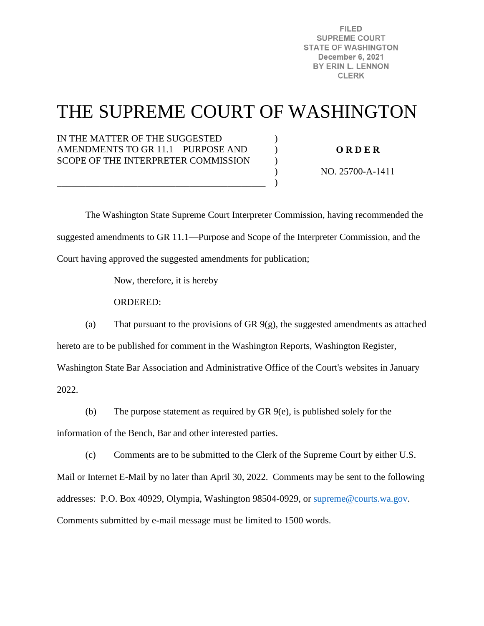**FILED SUPREME COURT STATE OF WASHINGTON December 6, 2021** BY ERIN L. LENNON **CLERK** 

# THE SUPREME COURT OF WASHINGTON

)  $\mathcal{L}$  $\mathcal{L}$  $\lambda$  $\lambda$ 

IN THE MATTER OF THE SUGGESTED AMENDMENTS TO GR 11.1—PURPOSE AND SCOPE OF THE INTERPRETER COMMISSION

\_\_\_\_\_\_\_\_\_\_\_\_\_\_\_\_\_\_\_\_\_\_\_\_\_\_\_\_\_\_\_\_\_\_\_\_\_\_\_\_\_\_\_\_

**O R D E R** 

NO. 25700-A-1411

 The Washington State Supreme Court Interpreter Commission, having recommended the suggested amendments to GR 11.1—Purpose and Scope of the Interpreter Commission, and the Court having approved the suggested amendments for publication;

Now, therefore, it is hereby

ORDERED:

(a) That pursuant to the provisions of GR 9(g), the suggested amendments as attached hereto are to be published for comment in the Washington Reports, Washington Register,

Washington State Bar Association and Administrative Office of the Court's websites in January

2022.

(b) The purpose statement as required by GR 9(e), is published solely for the

information of the Bench, Bar and other interested parties.

(c) Comments are to be submitted to the Clerk of the Supreme Court by either U.S.

Mail or Internet E-Mail by no later than April 30, 2022. Comments may be sent to the following addresses: P.O. Box 40929, Olympia, Washington 98504-0929, or [supreme@courts.wa.gov.](mailto:supreme@courts.wa.gov) Comments submitted by e-mail message must be limited to 1500 words.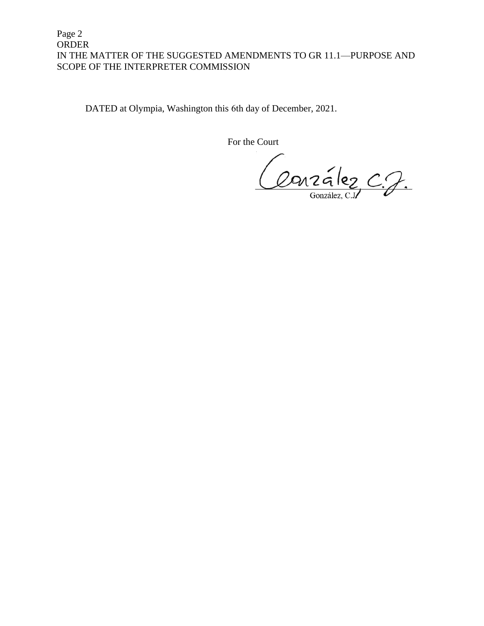## Page 2 ORDER IN THE MATTER OF THE SUGGESTED AMENDMENTS TO GR 11.1—PURPOSE AND SCOPE OF THE INTERPRETER COMMISSION

DATED at Olympia, Washington this 6th day of December, 2021.

For the Court

Conzález C.J.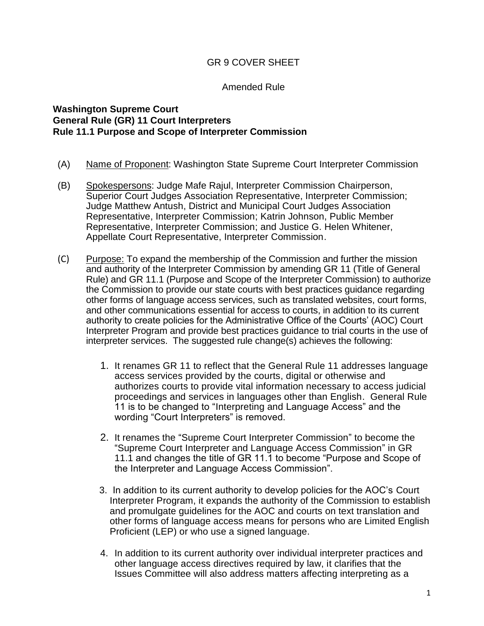## GR 9 COVER SHEET

#### Amended Rule

## **Washington Supreme Court General Rule (GR) 11 Court Interpreters Rule 11.1 Purpose and Scope of Interpreter Commission**

- (A) Name of Proponent: Washington State Supreme Court Interpreter Commission
- (B) Spokespersons: Judge Mafe Rajul, Interpreter Commission Chairperson, Superior Court Judges Association Representative, Interpreter Commission; Judge Matthew Antush, District and Municipal Court Judges Association Representative, Interpreter Commission; Katrin Johnson, Public Member Representative, Interpreter Commission; and Justice G. Helen Whitener, Appellate Court Representative, Interpreter Commission.
- (C) Purpose: To expand the membership of the Commission and further the mission and authority of the Interpreter Commission by amending GR 11 (Title of General Rule) and GR 11.1 (Purpose and Scope of the Interpreter Commission) to authorize the Commission to provide our state courts with best practices guidance regarding other forms of language access services, such as translated websites, court forms, and other communications essential for access to courts, in addition to its current authority to create policies for the Administrative Office of the Courts' (AOC) Court Interpreter Program and provide best practices guidance to trial courts in the use of interpreter services. The suggested rule change(s) achieves the following:
	- 1. It renames GR 11 to reflect that the General Rule 11 addresses language access services provided by the courts, digital or otherwise and authorizes courts to provide vital information necessary to access judicial proceedings and services in languages other than English. General Rule 11 is to be changed to "Interpreting and Language Access" and the wording "Court Interpreters" is removed.
	- 2. It renames the "Supreme Court Interpreter Commission" to become the "Supreme Court Interpreter and Language Access Commission" in GR 11.1 and changes the title of GR 11.1 to become "Purpose and Scope of the Interpreter and Language Access Commission".
	- 3. In addition to its current authority to develop policies for the AOC's Court Interpreter Program, it expands the authority of the Commission to establish and promulgate guidelines for the AOC and courts on text translation and other forms of language access means for persons who are Limited English Proficient (LEP) or who use a signed language.
	- 4. In addition to its current authority over individual interpreter practices and other language access directives required by law, it clarifies that the Issues Committee will also address matters affecting interpreting as a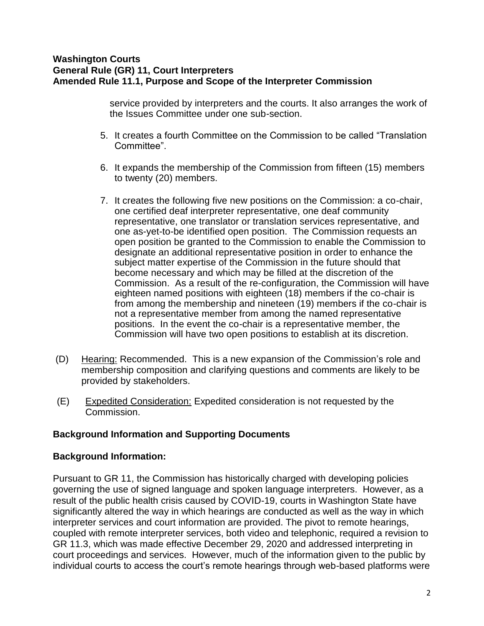## **Washington Courts General Rule (GR) 11, Court Interpreters Amended Rule 11.1, Purpose and Scope of the Interpreter Commission**

service provided by interpreters and the courts. It also arranges the work of the Issues Committee under one sub-section.

- 5. It creates a fourth Committee on the Commission to be called "Translation Committee".
- 6. It expands the membership of the Commission from fifteen (15) members to twenty (20) members.
- 7. It creates the following five new positions on the Commission: a co-chair, one certified deaf interpreter representative, one deaf community representative, one translator or translation services representative, and one as-yet-to-be identified open position. The Commission requests an open position be granted to the Commission to enable the Commission to designate an additional representative position in order to enhance the subject matter expertise of the Commission in the future should that become necessary and which may be filled at the discretion of the Commission. As a result of the re-configuration, the Commission will have eighteen named positions with eighteen (18) members if the co-chair is from among the membership and nineteen (19) members if the co-chair is not a representative member from among the named representative positions. In the event the co-chair is a representative member, the Commission will have two open positions to establish at its discretion.
- (D) Hearing: Recommended. This is a new expansion of the Commission's role and membership composition and clarifying questions and comments are likely to be provided by stakeholders.
- (E) Expedited Consideration: Expedited consideration is not requested by the Commission.

### **Background Information and Supporting Documents**

### **Background Information:**

Pursuant to GR 11, the Commission has historically charged with developing policies governing the use of signed language and spoken language interpreters. However, as a result of the public health crisis caused by COVID-19, courts in Washington State have significantly altered the way in which hearings are conducted as well as the way in which interpreter services and court information are provided. The pivot to remote hearings, coupled with remote interpreter services, both video and telephonic, required a revision to GR 11.3, which was made effective December 29, 2020 and addressed interpreting in court proceedings and services. However, much of the information given to the public by individual courts to access the court's remote hearings through web-based platforms were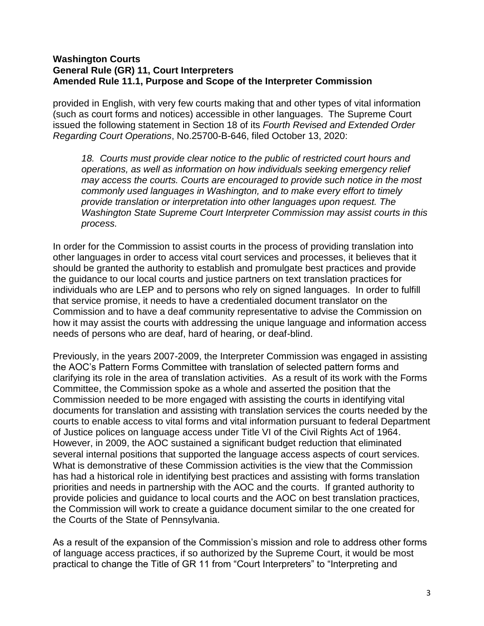## **Washington Courts General Rule (GR) 11, Court Interpreters Amended Rule 11.1, Purpose and Scope of the Interpreter Commission**

provided in English, with very few courts making that and other types of vital information (such as court forms and notices) accessible in other languages. The Supreme Court issued the following statement in Section 18 of its *Fourth Revised and Extended Order Regarding Court Operations*, No.25700-B-646, filed October 13, 2020:

18. Courts must provide clear notice to the public of restricted court hours and *operations, as well as information on how individuals seeking emergency relief may access the courts. Courts are encouraged to provide such notice in the most commonly used languages in Washington, and to make every effort to timely provide translation or interpretation into other languages upon request. The Washington State Supreme Court Interpreter Commission may assist courts in this process.* 

In order for the Commission to assist courts in the process of providing translation into other languages in order to access vital court services and processes, it believes that it should be granted the authority to establish and promulgate best practices and provide the guidance to our local courts and justice partners on text translation practices for individuals who are LEP and to persons who rely on signed languages. In order to fulfill that service promise, it needs to have a credentialed document translator on the Commission and to have a deaf community representative to advise the Commission on how it may assist the courts with addressing the unique language and information access needs of persons who are deaf, hard of hearing, or deaf-blind.

Previously, in the years 2007-2009, the Interpreter Commission was engaged in assisting the AOC's Pattern Forms Committee with translation of selected pattern forms and clarifying its role in the area of translation activities. As a result of its work with the Forms Committee, the Commission spoke as a whole and asserted the position that the Commission needed to be more engaged with assisting the courts in identifying vital documents for translation and assisting with translation services the courts needed by the courts to enable access to vital forms and vital information pursuant to federal Department of Justice polices on language access under Title VI of the Civil Rights Act of 1964. However, in 2009, the AOC sustained a significant budget reduction that eliminated several internal positions that supported the language access aspects of court services. What is demonstrative of these Commission activities is the view that the Commission has had a historical role in identifying best practices and assisting with forms translation priorities and needs in partnership with the AOC and the courts. If granted authority to provide policies and guidance to local courts and the AOC on best translation practices, the Commission will work to create a guidance document similar to the one created for the Courts of the State of Pennsylvania.

As a result of the expansion of the Commission's mission and role to address other forms of language access practices, if so authorized by the Supreme Court, it would be most practical to change the Title of GR 11 from "Court Interpreters" to "Interpreting and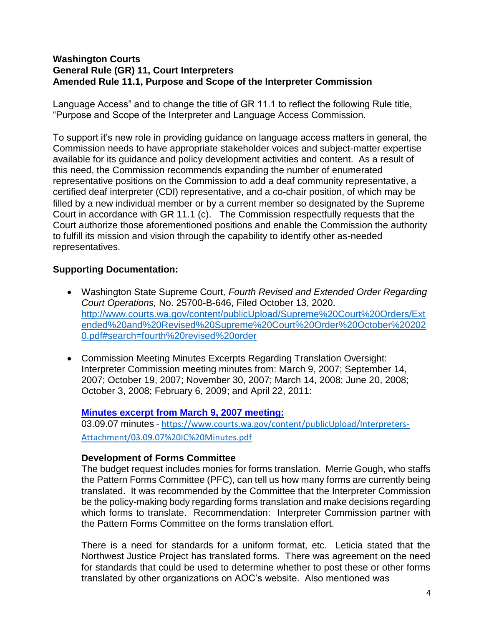## **Washington Courts General Rule (GR) 11, Court Interpreters Amended Rule 11.1, Purpose and Scope of the Interpreter Commission**

Language Access" and to change the title of GR 11.1 to reflect the following Rule title, "Purpose and Scope of the Interpreter and Language Access Commission.

To support it's new role in providing guidance on language access matters in general, the Commission needs to have appropriate stakeholder voices and subject-matter expertise available for its guidance and policy development activities and content. As a result of this need, the Commission recommends expanding the number of enumerated representative positions on the Commission to add a deaf community representative, a certified deaf interpreter (CDI) representative, and a co-chair position, of which may be filled by a new individual member or by a current member so designated by the Supreme Court in accordance with GR 11.1 (c). The Commission respectfully requests that the Court authorize those aforementioned positions and enable the Commission the authority to fulfill its mission and vision through the capability to identify other as-needed representatives.

# **Supporting Documentation:**

- Washington State Supreme Court*, Fourth Revised and Extended Order Regarding Court Operations,* No. 25700-B-646, Filed October 13, 2020. [http://www.courts.wa.gov/content/publicUpload/Supreme%20Court%20Orders/Ext](http://www.courts.wa.gov/content/publicUpload/Supreme%20Court%20Orders/Extended%20and%20Revised%20Supreme%20Court%20Order%20October%202020.pdf#search=fourth%20revised%20order) [ended%20and%20Revised%20Supreme%20Court%20Order%20October%20202](http://www.courts.wa.gov/content/publicUpload/Supreme%20Court%20Orders/Extended%20and%20Revised%20Supreme%20Court%20Order%20October%202020.pdf#search=fourth%20revised%20order) [0.pdf#search=fourth%20revised%20order](http://www.courts.wa.gov/content/publicUpload/Supreme%20Court%20Orders/Extended%20and%20Revised%20Supreme%20Court%20Order%20October%202020.pdf#search=fourth%20revised%20order)
- Commission Meeting Minutes Excerpts Regarding Translation Oversight: Interpreter Commission meeting minutes from: March 9, 2007; September 14, 2007; October 19, 2007; November 30, 2007; March 14, 2008; June 20, 2008; October 3, 2008; February 6, 2009; and April 22, 2011:

# **[Minutes excerpt from March 9, 2007 meeting:](https://www.courts.wa.gov/content/publicUpload/Interpreters-Attachment/03.09.07%20IC%20Minutes.pdf)**

03.09.07 minutes - [https://www.courts.wa.gov/content/publicUpload/Interpreters-](https://www.courts.wa.gov/content/publicUpload/Interpreters-Attachment/03.09.07%20IC%20Minutes.pdf)[Attachment/03.09.07%20IC%20Minutes.pdf](https://www.courts.wa.gov/content/publicUpload/Interpreters-Attachment/03.09.07%20IC%20Minutes.pdf)

### **Development of Forms Committee**

The budget request includes monies for forms translation. Merrie Gough, who staffs the Pattern Forms Committee (PFC), can tell us how many forms are currently being translated. It was recommended by the Committee that the Interpreter Commission be the policy-making body regarding forms translation and make decisions regarding which forms to translate. Recommendation: Interpreter Commission partner with the Pattern Forms Committee on the forms translation effort.

There is a need for standards for a uniform format, etc. Leticia stated that the Northwest Justice Project has translated forms. There was agreement on the need for standards that could be used to determine whether to post these or other forms translated by other organizations on AOC's website. Also mentioned was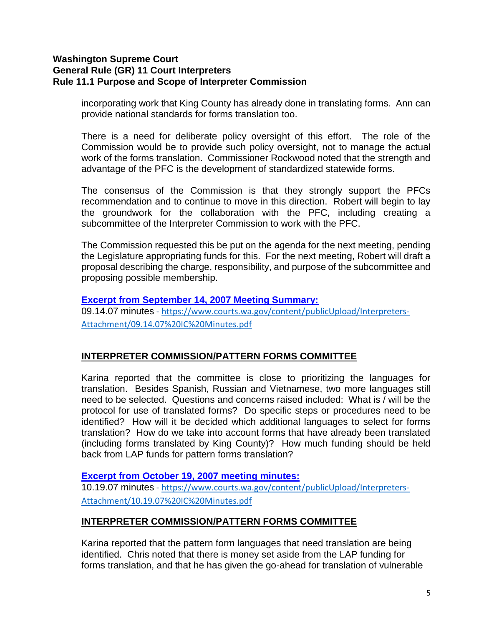incorporating work that King County has already done in translating forms. Ann can provide national standards for forms translation too.

There is a need for deliberate policy oversight of this effort. The role of the Commission would be to provide such policy oversight, not to manage the actual work of the forms translation. Commissioner Rockwood noted that the strength and advantage of the PFC is the development of standardized statewide forms.

The consensus of the Commission is that they strongly support the PFCs recommendation and to continue to move in this direction. Robert will begin to lay the groundwork for the collaboration with the PFC, including creating a subcommittee of the Interpreter Commission to work with the PFC.

The Commission requested this be put on the agenda for the next meeting, pending the Legislature appropriating funds for this. For the next meeting, Robert will draft a proposal describing the charge, responsibility, and purpose of the subcommittee and proposing possible membership.

#### **[Excerpt from September 14, 2007 Meeting Summary:](https://www.courts.wa.gov/content/publicUpload/Interpreters-Attachment/09.14.07%20IC%20Minutes.pdf)**

09.14.07 minutes - [https://www.courts.wa.gov/content/publicUpload/Interpreters-](https://www.courts.wa.gov/content/publicUpload/Interpreters-Attachment/09.14.07%20IC%20Minutes.pdf)[Attachment/09.14.07%20IC%20Minutes.pdf](https://www.courts.wa.gov/content/publicUpload/Interpreters-Attachment/09.14.07%20IC%20Minutes.pdf)

### **INTERPRETER COMMISSION/PATTERN FORMS COMMITTEE**

Karina reported that the committee is close to prioritizing the languages for translation. Besides Spanish, Russian and Vietnamese, two more languages still need to be selected. Questions and concerns raised included: What is / will be the protocol for use of translated forms? Do specific steps or procedures need to be identified? How will it be decided which additional languages to select for forms translation? How do we take into account forms that have already been translated (including forms translated by King County)? How much funding should be held back from LAP funds for pattern forms translation?

#### **[Excerpt from October 19, 2007 meeting minutes:](https://www.courts.wa.gov/content/publicUpload/Interpreters-Attachment/10.19.07%20IC%20Minutes.pdf)**

10.19.07 minutes - [https://www.courts.wa.gov/content/publicUpload/Interpreters-](https://www.courts.wa.gov/content/publicUpload/Interpreters-Attachment/10.19.07%20IC%20Minutes.pdf)[Attachment/10.19.07%20IC%20Minutes.pdf](https://www.courts.wa.gov/content/publicUpload/Interpreters-Attachment/10.19.07%20IC%20Minutes.pdf)

### **INTERPRETER COMMISSION/PATTERN FORMS COMMITTEE**

Karina reported that the pattern form languages that need translation are being identified. Chris noted that there is money set aside from the LAP funding for forms translation, and that he has given the go-ahead for translation of vulnerable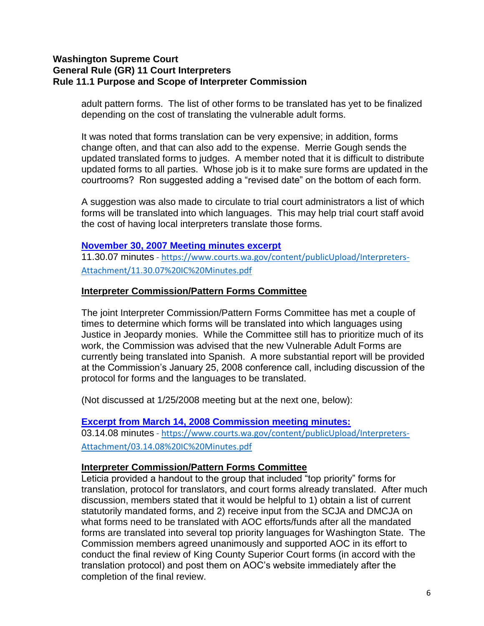adult pattern forms. The list of other forms to be translated has yet to be finalized depending on the cost of translating the vulnerable adult forms.

It was noted that forms translation can be very expensive; in addition, forms change often, and that can also add to the expense. Merrie Gough sends the updated translated forms to judges. A member noted that it is difficult to distribute updated forms to all parties. Whose job is it to make sure forms are updated in the courtrooms? Ron suggested adding a "revised date" on the bottom of each form.

A suggestion was also made to circulate to trial court administrators a list of which forms will be translated into which languages. This may help trial court staff avoid the cost of having local interpreters translate those forms.

#### **November 30, 2007 Meeting minutes excerpt**

11.30.07 minutes - [https://www.courts.wa.gov/content/publicUpload/Interpreters-](https://www.courts.wa.gov/content/publicUpload/Interpreters-Attachment/11.30.07%20IC%20Minutes.pdf)[Attachment/11.30.07%20IC%20Minutes.pdf](https://www.courts.wa.gov/content/publicUpload/Interpreters-Attachment/11.30.07%20IC%20Minutes.pdf)

#### **Interpreter Commission/Pattern Forms Committee**

The joint Interpreter Commission/Pattern Forms Committee has met a couple of times to determine which forms will be translated into which languages using Justice in Jeopardy monies. While the Committee still has to prioritize much of its work, the Commission was advised that the new Vulnerable Adult Forms are currently being translated into Spanish. A more substantial report will be provided at the Commission's January 25, 2008 conference call, including discussion of the protocol for forms and the languages to be translated.

(Not discussed at 1/25/2008 meeting but at the next one, below):

#### **[Excerpt from March 14, 2008 Commission meeting minutes:](https://www.courts.wa.gov/content/publicUpload/Interpreters-Attachment/03.14.08%20IC%20Minutes.pdf)**

03.14.08 minutes - [https://www.courts.wa.gov/content/publicUpload/Interpreters-](https://www.courts.wa.gov/content/publicUpload/Interpreters-Attachment/03.14.08%20IC%20Minutes.pdf)[Attachment/03.14.08%20IC%20Minutes.pdf](https://www.courts.wa.gov/content/publicUpload/Interpreters-Attachment/03.14.08%20IC%20Minutes.pdf)

#### **Interpreter Commission/Pattern Forms Committee**

Leticia provided a handout to the group that included "top priority" forms for translation, protocol for translators, and court forms already translated. After much discussion, members stated that it would be helpful to 1) obtain a list of current statutorily mandated forms, and 2) receive input from the SCJA and DMCJA on what forms need to be translated with AOC efforts/funds after all the mandated forms are translated into several top priority languages for Washington State. The Commission members agreed unanimously and supported AOC in its effort to conduct the final review of King County Superior Court forms (in accord with the translation protocol) and post them on AOC's website immediately after the completion of the final review.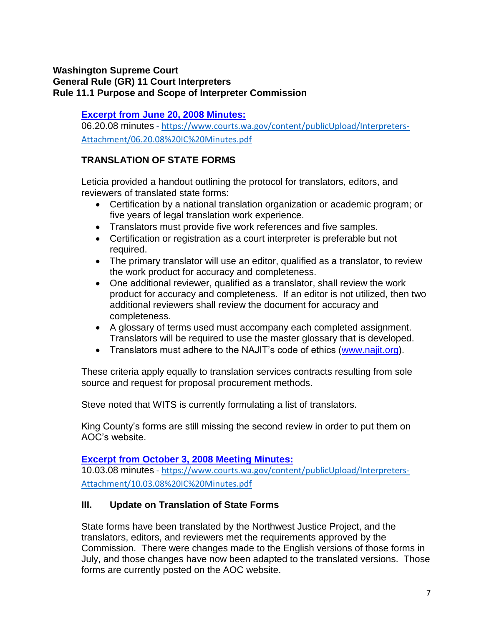# **[Excerpt from June 20, 2008 Minutes:](https://www.courts.wa.gov/content/publicUpload/Interpreters-Attachment/06.20.08%20IC%20Minutes.pdf)**

06.20.08 minutes - [https://www.courts.wa.gov/content/publicUpload/Interpreters-](https://www.courts.wa.gov/content/publicUpload/Interpreters-Attachment/06.20.08%20IC%20Minutes.pdf)[Attachment/06.20.08%20IC%20Minutes.pdf](https://www.courts.wa.gov/content/publicUpload/Interpreters-Attachment/06.20.08%20IC%20Minutes.pdf)

# **TRANSLATION OF STATE FORMS**

Leticia provided a handout outlining the protocol for translators, editors, and reviewers of translated state forms:

- Certification by a national translation organization or academic program; or five years of legal translation work experience.
- Translators must provide five work references and five samples.
- Certification or registration as a court interpreter is preferable but not required.
- The primary translator will use an editor, qualified as a translator, to review the work product for accuracy and completeness.
- One additional reviewer, qualified as a translator, shall review the work product for accuracy and completeness. If an editor is not utilized, then two additional reviewers shall review the document for accuracy and completeness.
- A glossary of terms used must accompany each completed assignment. Translators will be required to use the master glossary that is developed.
- Translators must adhere to the NAJIT's code of ethics [\(www.najit.org\)](http://www.najit.org/).

These criteria apply equally to translation services contracts resulting from sole source and request for proposal procurement methods.

Steve noted that WITS is currently formulating a list of translators.

King County's forms are still missing the second review in order to put them on AOC's website.

# **[Excerpt from October 3, 2008 Meeting Minutes:](https://www.courts.wa.gov/content/publicUpload/Interpreters-Attachment/10.03.08%20IC%20Minutes.pdf)**

10.03.08 minutes - [https://www.courts.wa.gov/content/publicUpload/Interpreters-](https://www.courts.wa.gov/content/publicUpload/Interpreters-Attachment/10.03.08%20IC%20Minutes.pdf)[Attachment/10.03.08%20IC%20Minutes.pdf](https://www.courts.wa.gov/content/publicUpload/Interpreters-Attachment/10.03.08%20IC%20Minutes.pdf)

# **III. Update on Translation of State Forms**

State forms have been translated by the Northwest Justice Project, and the translators, editors, and reviewers met the requirements approved by the Commission. There were changes made to the English versions of those forms in July, and those changes have now been adapted to the translated versions. Those forms are currently posted on the AOC website.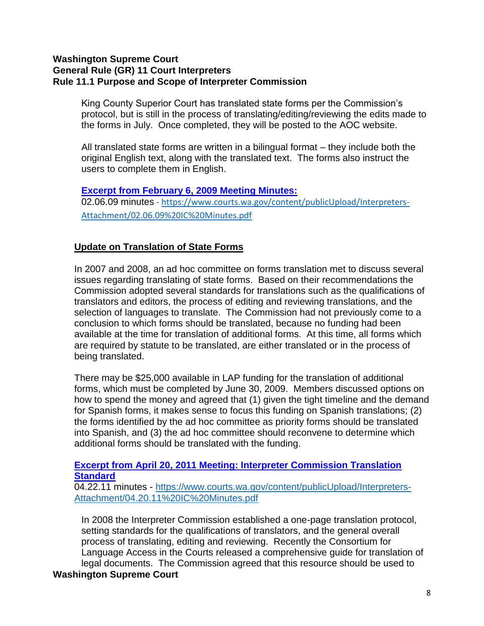King County Superior Court has translated state forms per the Commission's protocol, but is still in the process of translating/editing/reviewing the edits made to the forms in July. Once completed, they will be posted to the AOC website.

All translated state forms are written in a bilingual format – they include both the original English text, along with the translated text. The forms also instruct the users to complete them in English.

**[Excerpt from February 6, 2009 Meeting Minutes:](https://www.courts.wa.gov/content/publicUpload/Interpreters-Attachment/02.06.09%20IC%20Minutes.pdf)** 02.06.09 minutes - [https://www.courts.wa.gov/content/publicUpload/Interpreters-](https://www.courts.wa.gov/content/publicUpload/Interpreters-Attachment/02.06.09%20IC%20Minutes.pdf)[Attachment/02.06.09%20IC%20Minutes.pdf](https://www.courts.wa.gov/content/publicUpload/Interpreters-Attachment/02.06.09%20IC%20Minutes.pdf)

# **Update on Translation of State Forms**

In 2007 and 2008, an ad hoc committee on forms translation met to discuss several issues regarding translating of state forms. Based on their recommendations the Commission adopted several standards for translations such as the qualifications of translators and editors, the process of editing and reviewing translations, and the selection of languages to translate. The Commission had not previously come to a conclusion to which forms should be translated, because no funding had been available at the time for translation of additional forms. At this time, all forms which are required by statute to be translated, are either translated or in the process of being translated.

There may be \$25,000 available in LAP funding for the translation of additional forms, which must be completed by June 30, 2009. Members discussed options on how to spend the money and agreed that (1) given the tight timeline and the demand for Spanish forms, it makes sense to focus this funding on Spanish translations; (2) the forms identified by the ad hoc committee as priority forms should be translated into Spanish, and (3) the ad hoc committee should reconvene to determine which additional forms should be translated with the funding.

### **[Excerpt from April 20, 2011 Meeting: Interpreter Commission Translation](https://www.courts.wa.gov/content/publicUpload/Interpreters-Attachment/04.20.11%20IC%20Minutes.pdf)  [Standard](https://www.courts.wa.gov/content/publicUpload/Interpreters-Attachment/04.20.11%20IC%20Minutes.pdf)**

04.22.11 minutes - [https://www.courts.wa.gov/content/publicUpload/Interpreters-](https://www.courts.wa.gov/content/publicUpload/Interpreters-Attachment/04.20.11%20IC%20Minutes.pdf)[Attachment/04.20.11%20IC%20Minutes.pdf](https://www.courts.wa.gov/content/publicUpload/Interpreters-Attachment/04.20.11%20IC%20Minutes.pdf)

In 2008 the Interpreter Commission established a one-page translation protocol, setting standards for the qualifications of translators, and the general overall process of translating, editing and reviewing. Recently the Consortium for Language Access in the Courts released a comprehensive guide for translation of legal documents. The Commission agreed that this resource should be used to **Washington Supreme Court**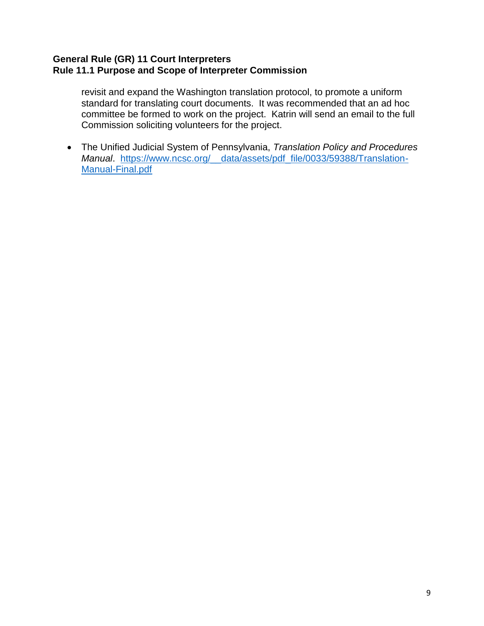## **General Rule (GR) 11 Court Interpreters Rule 11.1 Purpose and Scope of Interpreter Commission**

revisit and expand the Washington translation protocol, to promote a uniform standard for translating court documents. It was recommended that an ad hoc committee be formed to work on the project. Katrin will send an email to the full Commission soliciting volunteers for the project.

 The Unified Judicial System of Pennsylvania, *Translation Policy and Procedures Manual*. [https://www.ncsc.org/\\_\\_data/assets/pdf\\_file/0033/59388/Translation-](https://www.ncsc.org/__data/assets/pdf_file/0033/59388/Translation-Manual-Final.pdf)[Manual-Final.pdf](https://www.ncsc.org/__data/assets/pdf_file/0033/59388/Translation-Manual-Final.pdf)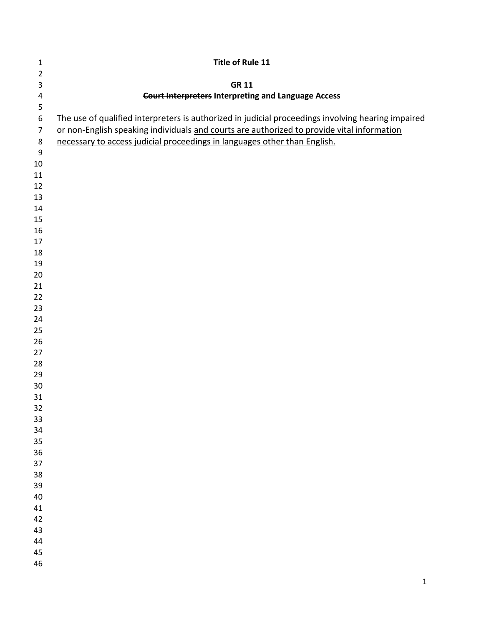| $\mathbf{1}$            | <b>Title of Rule 11</b>                                                                            |
|-------------------------|----------------------------------------------------------------------------------------------------|
| $\overline{2}$          |                                                                                                    |
| $\mathsf 3$             | <b>GR 11</b>                                                                                       |
| $\overline{\mathbf{4}}$ | <b>Court Interpreters Interpreting and Language Access</b>                                         |
| 5                       |                                                                                                    |
| $\boldsymbol{6}$        | The use of qualified interpreters is authorized in judicial proceedings involving hearing impaired |
| $\overline{7}$          | or non-English speaking individuals and courts are authorized to provide vital information         |
| $\bf 8$                 | necessary to access judicial proceedings in languages other than English.                          |
| 9                       |                                                                                                    |
| $10\,$                  |                                                                                                    |
| 11                      |                                                                                                    |
| 12                      |                                                                                                    |
| 13                      |                                                                                                    |
| 14                      |                                                                                                    |
| 15                      |                                                                                                    |
| 16                      |                                                                                                    |
| 17                      |                                                                                                    |
| 18                      |                                                                                                    |
| 19                      |                                                                                                    |
| 20<br>21                |                                                                                                    |
| 22                      |                                                                                                    |
| 23                      |                                                                                                    |
| 24                      |                                                                                                    |
| 25                      |                                                                                                    |
| 26                      |                                                                                                    |
| 27                      |                                                                                                    |
| 28                      |                                                                                                    |
| 29                      |                                                                                                    |
| 30                      |                                                                                                    |
| 31                      |                                                                                                    |
| 32                      |                                                                                                    |
| 33                      |                                                                                                    |
| 34                      |                                                                                                    |
| 35                      |                                                                                                    |
| 36                      |                                                                                                    |
| 37                      |                                                                                                    |
| 38                      |                                                                                                    |
| 39                      |                                                                                                    |
| 40                      |                                                                                                    |
| 41                      |                                                                                                    |
| 42                      |                                                                                                    |
| 43                      |                                                                                                    |
| 44                      |                                                                                                    |
| 45                      |                                                                                                    |
| 46                      |                                                                                                    |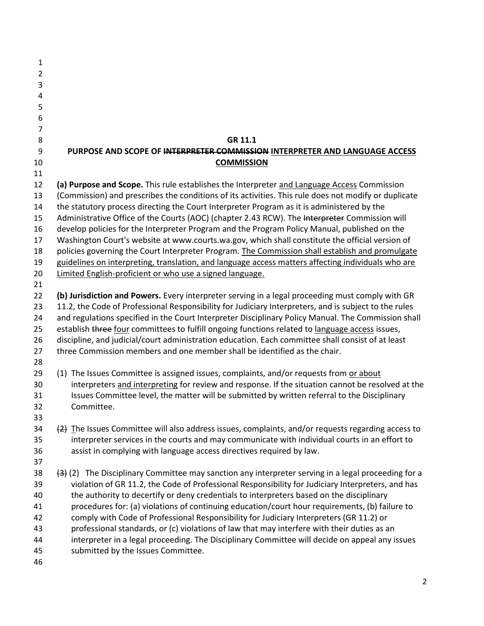| 1              |                                                                                                                   |
|----------------|-------------------------------------------------------------------------------------------------------------------|
| $\overline{2}$ |                                                                                                                   |
| 3              |                                                                                                                   |
| 4              |                                                                                                                   |
| 5              |                                                                                                                   |
| 6              |                                                                                                                   |
| $\overline{7}$ |                                                                                                                   |
| 8              | GR 11.1                                                                                                           |
| 9              | PURPOSE AND SCOPE OF INTERPRETER COMMISSION INTERPRETER AND LANGUAGE ACCESS                                       |
| 10             | <b>COMMISSION</b>                                                                                                 |
| 11             |                                                                                                                   |
| 12             |                                                                                                                   |
|                | (a) Purpose and Scope. This rule establishes the Interpreter and Language Access Commission                       |
| 13             | (Commission) and prescribes the conditions of its activities. This rule does not modify or duplicate              |
| 14             | the statutory process directing the Court Interpreter Program as it is administered by the                        |
| 15             | Administrative Office of the Courts (AOC) (chapter 2.43 RCW). The Interpreter Commission will                     |
| 16             | develop policies for the Interpreter Program and the Program Policy Manual, published on the                      |
| 17             | Washington Court's website at www.courts.wa.gov, which shall constitute the official version of                   |
| 18             | policies governing the Court Interpreter Program. The Commission shall establish and promulgate                   |
| 19             | guidelines on interpreting, translation, and language access matters affecting individuals who are                |
| 20             | Limited English-proficient or who use a signed language.                                                          |
| 21             |                                                                                                                   |
| 22             | (b) Jurisdiction and Powers. Every interpreter serving in a legal proceeding must comply with GR                  |
| 23             | 11.2, the Code of Professional Responsibility for Judiciary Interpreters, and is subject to the rules             |
| 24             | and regulations specified in the Court Interpreter Disciplinary Policy Manual. The Commission shall               |
| 25             | establish three four committees to fulfill ongoing functions related to language access issues,                   |
| 26             | discipline, and judicial/court administration education. Each committee shall consist of at least                 |
| 27             | three Commission members and one member shall be identified as the chair.                                         |
| 28             |                                                                                                                   |
| 29             | (1) The Issues Committee is assigned issues, complaints, and/or requests from or about                            |
| 30             | interpreters and interpreting for review and response. If the situation cannot be resolved at the                 |
| 31             | Issues Committee level, the matter will be submitted by written referral to the Disciplinary                      |
| 32             | Committee.                                                                                                        |
| 33             |                                                                                                                   |
| 34             | $\{2\}$ The Issues Committee will also address issues, complaints, and/or requests regarding access to            |
| 35             | interpreter services in the courts and may communicate with individual courts in an effort to                     |
| 36             | assist in complying with language access directives required by law.                                              |
| 37             |                                                                                                                   |
| 38             | $\left(43\right)$ (2) The Disciplinary Committee may sanction any interpreter serving in a legal proceeding for a |
| 39             | violation of GR 11.2, the Code of Professional Responsibility for Judiciary Interpreters, and has                 |
| 40             | the authority to decertify or deny credentials to interpreters based on the disciplinary                          |
| 41             | procedures for: (a) violations of continuing education/court hour requirements, (b) failure to                    |
| 42             | comply with Code of Professional Responsibility for Judiciary Interpreters (GR 11.2) or                           |
| 43             | professional standards, or (c) violations of law that may interfere with their duties as an                       |
| 44             | interpreter in a legal proceeding. The Disciplinary Committee will decide on appeal any issues                    |
| 45             | submitted by the Issues Committee.                                                                                |
| 46             |                                                                                                                   |